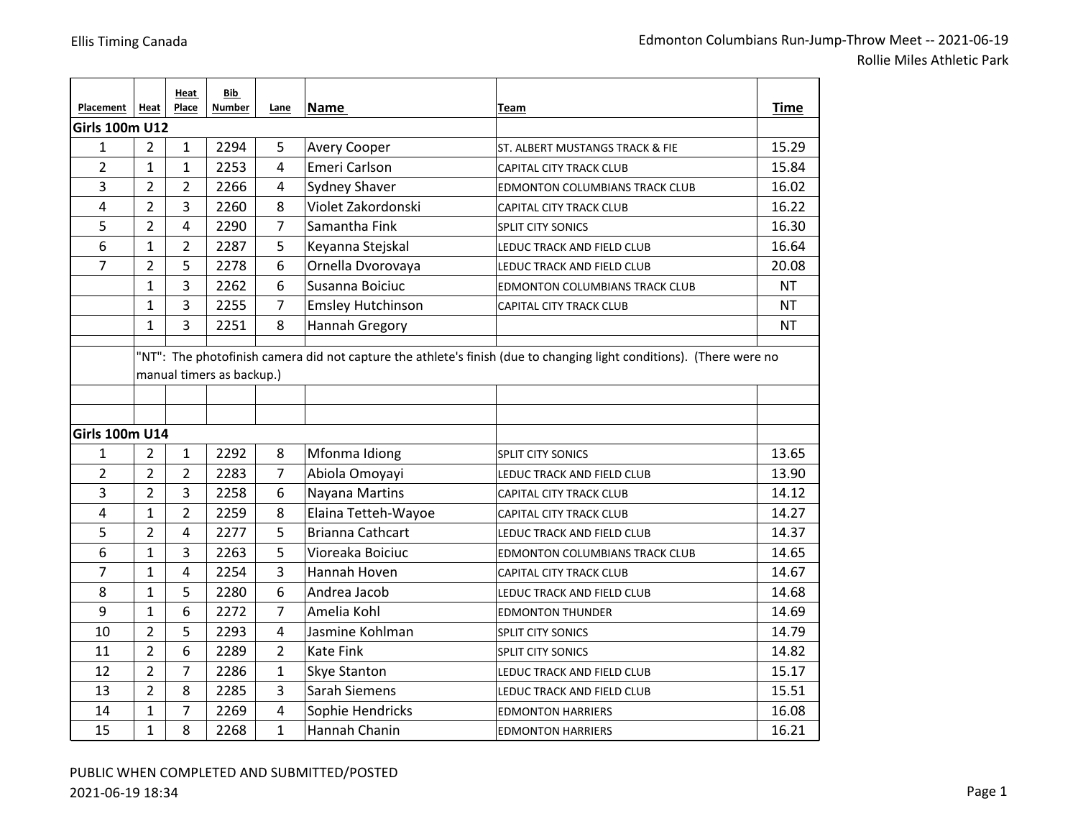| Placement             | Heat           | Heat<br>Place  | Bib<br><b>Number</b>      | Lane           | <b>Name</b>              | Team                                                                                                                 | <b>Time</b> |
|-----------------------|----------------|----------------|---------------------------|----------------|--------------------------|----------------------------------------------------------------------------------------------------------------------|-------------|
| <b>Girls 100m U12</b> |                |                |                           |                |                          |                                                                                                                      |             |
| $\mathbf{1}$          | $\overline{2}$ | 1              | 2294                      | 5              | Avery Cooper             | ST. ALBERT MUSTANGS TRACK & FIE                                                                                      | 15.29       |
| $\overline{2}$        | 1              | 1              | 2253                      | 4              | Emeri Carlson            | CAPITAL CITY TRACK CLUB                                                                                              | 15.84       |
| 3                     | $\overline{2}$ | $\overline{2}$ | 2266                      | 4              | Sydney Shaver            | <b>EDMONTON COLUMBIANS TRACK CLUB</b>                                                                                | 16.02       |
| 4                     | $\overline{2}$ | 3              | 2260                      | 8              | Violet Zakordonski       | <b>CAPITAL CITY TRACK CLUB</b>                                                                                       | 16.22       |
| 5                     | $\overline{2}$ | 4              | 2290                      | 7              | Samantha Fink            | <b>SPLIT CITY SONICS</b>                                                                                             | 16.30       |
| 6                     | 1              | $\overline{2}$ | 2287                      | 5              | Keyanna Stejskal         | LEDUC TRACK AND FIELD CLUB                                                                                           | 16.64       |
| $\overline{7}$        | $\overline{2}$ | 5              | 2278                      | 6              | Ornella Dvorovaya        | LEDUC TRACK AND FIELD CLUB                                                                                           | 20.08       |
|                       | $\mathbf{1}$   | 3              | 2262                      | 6              | Susanna Boiciuc          | EDMONTON COLUMBIANS TRACK CLUB                                                                                       | <b>NT</b>   |
|                       | 1              | 3              | 2255                      | 7              | <b>Emsley Hutchinson</b> | CAPITAL CITY TRACK CLUB                                                                                              | <b>NT</b>   |
|                       | 1              | 3              | 2251                      | 8              | Hannah Gregory           |                                                                                                                      | <b>NT</b>   |
|                       |                |                | manual timers as backup.) |                |                          | "NT": The photofinish camera did not capture the athlete's finish (due to changing light conditions). (There were no |             |
| <b>Girls 100m U14</b> |                |                |                           |                |                          |                                                                                                                      |             |
| 1                     | $\overline{2}$ | $\mathbf{1}$   | 2292                      | 8              | Mfonma Idiong            | SPLIT CITY SONICS                                                                                                    | 13.65       |
| $\overline{2}$        | $\overline{2}$ | $\overline{2}$ | 2283                      | 7              | Abiola Omoyayi           | LEDUC TRACK AND FIELD CLUB                                                                                           | 13.90       |
| 3                     | $\overline{2}$ | 3              | 2258                      | 6              | Nayana Martins           | CAPITAL CITY TRACK CLUB                                                                                              | 14.12       |
| 4                     | $\mathbf{1}$   | $\overline{2}$ | 2259                      | 8              | Elaina Tetteh-Wayoe      | CAPITAL CITY TRACK CLUB                                                                                              | 14.27       |
| 5                     | $\overline{2}$ | 4              | 2277                      | 5              | <b>Brianna Cathcart</b>  | LEDUC TRACK AND FIELD CLUB                                                                                           | 14.37       |
| 6                     | $\mathbf{1}$   | 3              | 2263                      | 5              | Vioreaka Boiciuc         | <b>EDMONTON COLUMBIANS TRACK CLUB</b>                                                                                | 14.65       |
| 7                     | $\mathbf{1}$   | 4              | 2254                      | 3              | Hannah Hoven             | CAPITAL CITY TRACK CLUB                                                                                              | 14.67       |
| 8                     | $\mathbf{1}$   | 5              | 2280                      | 6              | Andrea Jacob             | LEDUC TRACK AND FIELD CLUB                                                                                           | 14.68       |
| 9                     | 1              | 6              | 2272                      | 7              | Amelia Kohl              | <b>EDMONTON THUNDER</b>                                                                                              | 14.69       |
| 10                    | $\overline{2}$ | 5              | 2293                      | 4              | Jasmine Kohlman          | <b>SPLIT CITY SONICS</b>                                                                                             | 14.79       |
| 11                    | $\overline{2}$ | 6              | 2289                      | $\overline{2}$ | <b>Kate Fink</b>         | <b>SPLIT CITY SONICS</b>                                                                                             | 14.82       |
| 12                    | $\overline{2}$ | $\overline{7}$ | 2286                      | 1              | Skye Stanton             | LEDUC TRACK AND FIELD CLUB                                                                                           | 15.17       |
| 13                    | $\overline{2}$ | 8              | 2285                      | 3              | <b>Sarah Siemens</b>     | LEDUC TRACK AND FIELD CLUB                                                                                           | 15.51       |
| 14                    | $\mathbf 1$    | $\overline{7}$ | 2269                      | 4              | Sophie Hendricks         | <b>EDMONTON HARRIERS</b>                                                                                             | 16.08       |
| 15                    | $\mathbf 1$    | 8              | 2268                      | $\mathbf{1}$   | Hannah Chanin            | <b>EDMONTON HARRIERS</b>                                                                                             | 16.21       |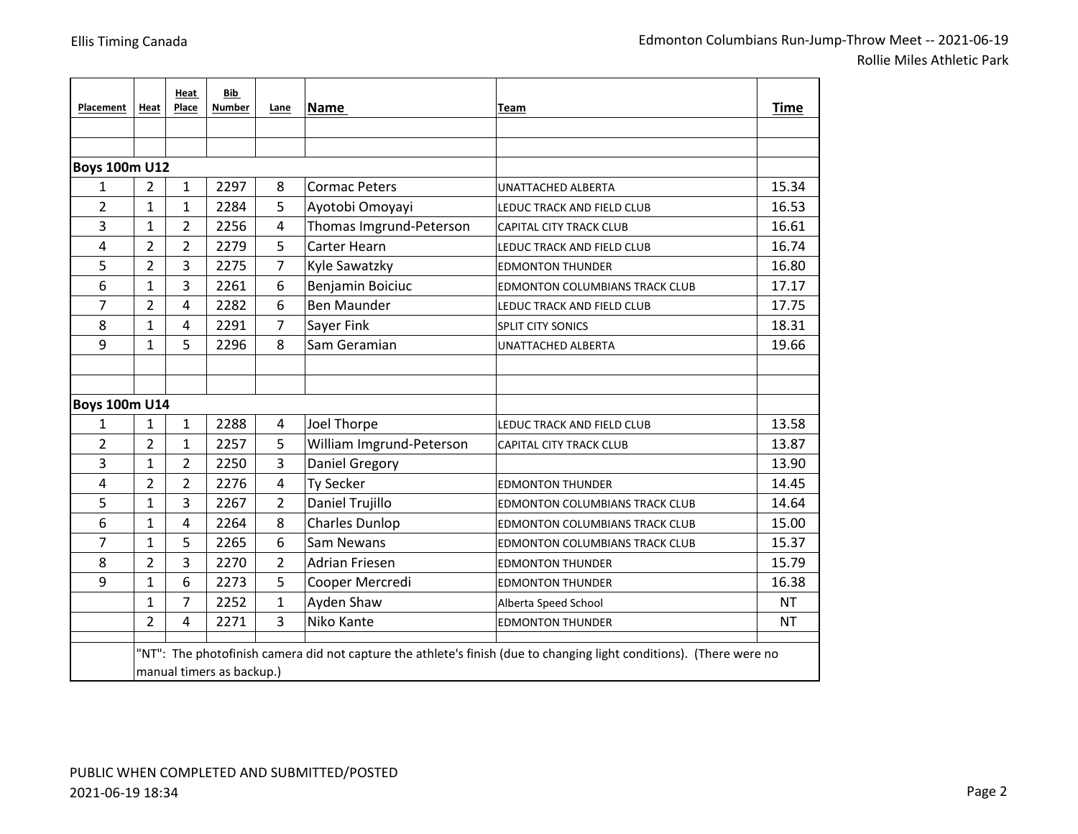| Placement            | Heat           | Heat<br>Place  | Bib<br><b>Number</b>      | Lane           | Name                     | Team                                                                                                                 | Time      |
|----------------------|----------------|----------------|---------------------------|----------------|--------------------------|----------------------------------------------------------------------------------------------------------------------|-----------|
|                      |                |                |                           |                |                          |                                                                                                                      |           |
|                      |                |                |                           |                |                          |                                                                                                                      |           |
| <b>Boys 100m U12</b> |                |                |                           |                |                          |                                                                                                                      |           |
| 1                    | $\overline{2}$ | $\mathbf{1}$   | 2297                      | 8              | <b>Cormac Peters</b>     | UNATTACHED ALBERTA                                                                                                   | 15.34     |
| $\overline{2}$       | $\mathbf{1}$   | 1              | 2284                      | 5              | Ayotobi Omoyayi          | LEDUC TRACK AND FIELD CLUB                                                                                           | 16.53     |
| 3                    | $\mathbf{1}$   | $\overline{2}$ | 2256                      | $\overline{4}$ | Thomas Imgrund-Peterson  | CAPITAL CITY TRACK CLUB                                                                                              | 16.61     |
| 4                    | $\overline{2}$ | $\overline{2}$ | 2279                      | 5              | Carter Hearn             | LEDUC TRACK AND FIELD CLUB                                                                                           | 16.74     |
| 5                    | $\overline{2}$ | 3              | 2275                      | 7              | Kyle Sawatzky            | <b>EDMONTON THUNDER</b>                                                                                              | 16.80     |
| 6                    | $\mathbf{1}$   | 3              | 2261                      | 6              | Benjamin Boiciuc         | <b>EDMONTON COLUMBIANS TRACK CLUB</b>                                                                                | 17.17     |
| 7                    | $\overline{2}$ | 4              | 2282                      | 6              | <b>Ben Maunder</b>       | LEDUC TRACK AND FIELD CLUB                                                                                           | 17.75     |
| 8                    | 1              | 4              | 2291                      | 7              | Sayer Fink               | <b>SPLIT CITY SONICS</b>                                                                                             | 18.31     |
| 9                    | $\mathbf{1}$   | 5              | 2296                      | 8              | Sam Geramian             | UNATTACHED ALBERTA                                                                                                   | 19.66     |
|                      |                |                |                           |                |                          |                                                                                                                      |           |
|                      |                |                |                           |                |                          |                                                                                                                      |           |
| <b>Boys 100m U14</b> |                |                |                           |                |                          |                                                                                                                      |           |
| 1                    | $\mathbf{1}$   | $\mathbf{1}$   | 2288                      | 4              | Joel Thorpe              | LEDUC TRACK AND FIELD CLUB                                                                                           | 13.58     |
| $\overline{2}$       | $\overline{2}$ | 1              | 2257                      | 5              | William Imgrund-Peterson | <b>CAPITAL CITY TRACK CLUB</b>                                                                                       | 13.87     |
| 3                    | $\mathbf{1}$   | $\overline{2}$ | 2250                      | 3              | Daniel Gregory           |                                                                                                                      | 13.90     |
| 4                    | $\overline{2}$ | 2              | 2276                      | $\overline{4}$ | <b>Ty Secker</b>         | <b>EDMONTON THUNDER</b>                                                                                              | 14.45     |
| 5                    | $\mathbf{1}$   | 3              | 2267                      | $\overline{2}$ | Daniel Trujillo          | EDMONTON COLUMBIANS TRACK CLUB                                                                                       | 14.64     |
| 6                    | $\mathbf{1}$   | 4              | 2264                      | 8              | <b>Charles Dunlop</b>    | EDMONTON COLUMBIANS TRACK CLUB                                                                                       | 15.00     |
| 7                    | $\mathbf{1}$   | 5              | 2265                      | 6              | Sam Newans               | EDMONTON COLUMBIANS TRACK CLUB                                                                                       | 15.37     |
| 8                    | $\overline{2}$ | 3              | 2270                      | $\overline{2}$ | <b>Adrian Friesen</b>    | <b>EDMONTON THUNDER</b>                                                                                              | 15.79     |
| 9                    | $\mathbf{1}$   | 6              | 2273                      | 5              | Cooper Mercredi          | <b>EDMONTON THUNDER</b>                                                                                              | 16.38     |
|                      | 1              | 7              | 2252                      | 1              | Ayden Shaw               | Alberta Speed School                                                                                                 | <b>NT</b> |
|                      | $\overline{2}$ | 4              | 2271                      | 3              | Niko Kante               | <b>EDMONTON THUNDER</b>                                                                                              | <b>NT</b> |
|                      |                |                | manual timers as backup.) |                |                          | "NT": The photofinish camera did not capture the athlete's finish (due to changing light conditions). (There were no |           |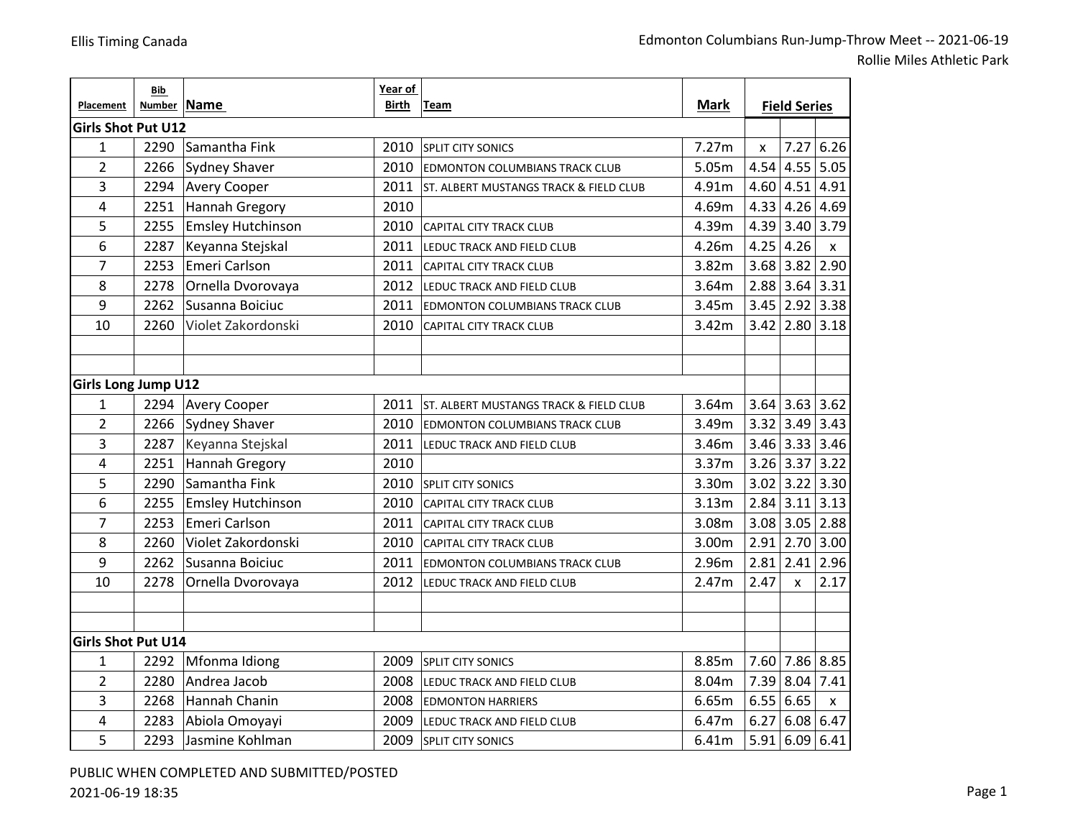Rollie Miles Athletic Park

|                            | Bib           |                          | Year of |                                        |             |                     |                    |              |
|----------------------------|---------------|--------------------------|---------|----------------------------------------|-------------|---------------------|--------------------|--------------|
| Placement                  | <b>Number</b> | Name                     | Birth   | Team                                   | <b>Mark</b> | <b>Field Series</b> |                    |              |
| <b>Girls Shot Put U12</b>  |               |                          |         |                                        |             |                     |                    |              |
| $\mathbf{1}$               | 2290          | Samantha Fink            | 2010    | <b>SPLIT CITY SONICS</b>               | 7.27m       | X                   | 7.27               | 6.26         |
| $\overline{2}$             | 2266          | Sydney Shaver            | 2010    | <b>EDMONTON COLUMBIANS TRACK CLUB</b>  | 5.05m       | 4.54                | $4.55$ 5.05        |              |
| 3                          | 2294          | <b>Avery Cooper</b>      | 2011    | ST. ALBERT MUSTANGS TRACK & FIELD CLUB | 4.91m       |                     | $4.60$ 4.51        | 4.91         |
| 4                          | 2251          | Hannah Gregory           | 2010    |                                        | 4.69m       |                     | 4.33 4.26 4.69     |              |
| 5                          | 2255          | <b>Emsley Hutchinson</b> | 2010    | <b>CAPITAL CITY TRACK CLUB</b>         | 4.39m       |                     | 4.39 3.40 3.79     |              |
| 6                          | 2287          | Keyanna Stejskal         | 2011    | LEDUC TRACK AND FIELD CLUB             | 4.26m       | 4.25                | 4.26               | $\mathsf{x}$ |
| 7                          | 2253          | Emeri Carlson            | 2011    | <b>CAPITAL CITY TRACK CLUB</b>         | 3.82m       |                     | $3.68$ 3.82 2.90   |              |
| 8                          | 2278          | Ornella Dvorovaya        | 2012    | LEDUC TRACK AND FIELD CLUB             | 3.64m       |                     | $2.88$ 3.64 3.31   |              |
| 9                          | 2262          | Susanna Boiciuc          | 2011    | EDMONTON COLUMBIANS TRACK CLUB         | 3.45m       |                     | $3.45$ 2.92 3.38   |              |
| 10                         | 2260          | Violet Zakordonski       | 2010    | CAPITAL CITY TRACK CLUB                | 3.42m       |                     | $3.42$ 2.80 3.18   |              |
|                            |               |                          |         |                                        |             |                     |                    |              |
|                            |               |                          |         |                                        |             |                     |                    |              |
| <b>Girls Long Jump U12</b> |               |                          |         |                                        |             |                     |                    |              |
| $\mathbf{1}$               | 2294          | <b>Avery Cooper</b>      | 2011    | ST. ALBERT MUSTANGS TRACK & FIELD CLUB | 3.64m       |                     | $3.64$ 3.63 3.62   |              |
| $\overline{2}$             | 2266          | Sydney Shaver            | 2010    | <b>EDMONTON COLUMBIANS TRACK CLUB</b>  | 3.49m       |                     | $3.32$ 3.49 3.43   |              |
| 3                          | 2287          | Keyanna Stejskal         | 2011    | LEDUC TRACK AND FIELD CLUB             | 3.46m       |                     | $3.46$ 3.33 3.46   |              |
| 4                          | 2251          | <b>Hannah Gregory</b>    | 2010    |                                        | 3.37m       |                     | $3.26$ 3.37        | $3.22$       |
| 5                          | 2290          | Samantha Fink            |         | 2010 SPLIT CITY SONICS                 | 3.30m       |                     | $3.02$ 3.22 3.30   |              |
| 6                          | 2255          | <b>Emsley Hutchinson</b> | 2010    | CAPITAL CITY TRACK CLUB                | 3.13m       |                     | $2.84$ 3.11 3.13   |              |
| 7                          | 2253          | Emeri Carlson            | 2011    | CAPITAL CITY TRACK CLUB                | 3.08m       |                     | $3.08$ 3.05 2.88   |              |
| 8                          | 2260          | Violet Zakordonski       | 2010    | CAPITAL CITY TRACK CLUB                | 3.00m       |                     | $2.91$ 2.70 3.00   |              |
| 9                          | 2262          | Susanna Boiciuc          | 2011    | <b>EDMONTON COLUMBIANS TRACK CLUB</b>  | 2.96m       |                     | $2.81$ 2.41        | 2.96         |
| 10                         | 2278          | Ornella Dvorovaya        | 2012    | LEDUC TRACK AND FIELD CLUB             | 2.47m       | 2.47                | X                  | 2.17         |
|                            |               |                          |         |                                        |             |                     |                    |              |
|                            |               |                          |         |                                        |             |                     |                    |              |
| <b>Girls Shot Put U14</b>  |               |                          |         |                                        |             |                     |                    |              |
| $\mathbf{1}$               | 2292          | Mfonma Idiong            | 2009    | <b>SPLIT CITY SONICS</b>               | 8.85m       |                     | 7.60 7.86 8.85     |              |
| $\overline{2}$             | 2280          | Andrea Jacob             | 2008    | LEDUC TRACK AND FIELD CLUB             | 8.04m       |                     | 7.39 8.04          | 7.41         |
| 3                          | 2268          | Hannah Chanin            | 2008    | <b>EDMONTON HARRIERS</b>               | 6.65m       |                     | 6.55 6.65          | $\mathsf{x}$ |
| 4                          | 2283          | Abiola Omoyayi           | 2009    | LEDUC TRACK AND FIELD CLUB             | 6.47m       | 6.27                | 6.08 6.47          |              |
| 5                          | 2293          | Jasmine Kohlman          | 2009    | <b>SPLIT CITY SONICS</b>               | 6.41m       |                     | 5.91   6.09   6.41 |              |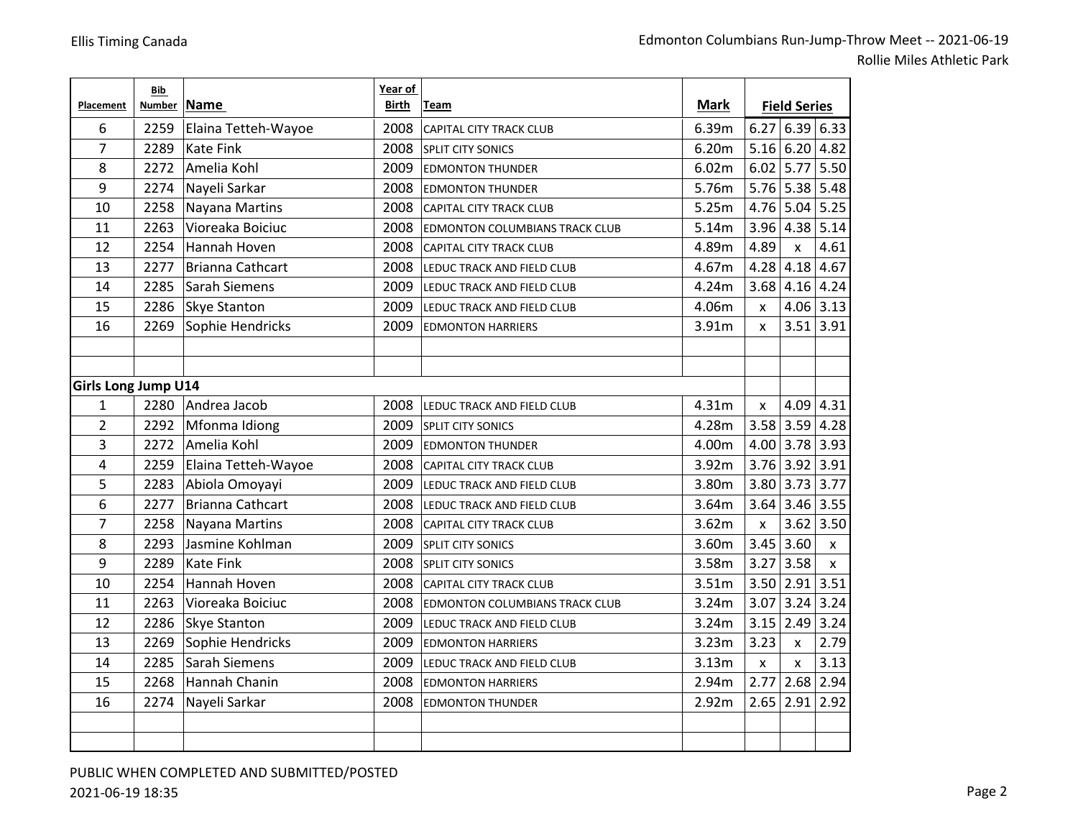|                            | Bib    |                         | Year of |                                       |             |                    |                     |             |
|----------------------------|--------|-------------------------|---------|---------------------------------------|-------------|--------------------|---------------------|-------------|
| Placement                  | Number | <b>Name</b>             | Birth   | Team                                  | <b>Mark</b> |                    | <b>Field Series</b> |             |
| 6                          | 2259   | Elaina Tetteh-Wayoe     | 2008    | <b>CAPITAL CITY TRACK CLUB</b>        | 6.39m       | 6.27               | 6.39 6.33           |             |
| $\overline{7}$             | 2289   | <b>Kate Fink</b>        | 2008    | <b>SPLIT CITY SONICS</b>              | 6.20m       | 5.16               | 6.20   4.82         |             |
| 8                          | 2272   | Amelia Kohl             | 2009    | <b>EDMONTON THUNDER</b>               | 6.02m       | 6.02               | $5.77$ 5.50         |             |
| 9                          | 2274   | Nayeli Sarkar           | 2008    | <b>EDMONTON THUNDER</b>               | 5.76m       | 5.76               | $5.38$ 5.48         |             |
| 10                         | 2258   | Nayana Martins          | 2008    | <b>CAPITAL CITY TRACK CLUB</b>        | 5.25m       | 4.76               | $5.04$ 5.25         |             |
| 11                         | 2263   | Vioreaka Boiciuc        | 2008    | <b>EDMONTON COLUMBIANS TRACK CLUB</b> | 5.14m       | 3.96               | $4.38$ 5.14         |             |
| 12                         | 2254   | Hannah Hoven            | 2008    | <b>CAPITAL CITY TRACK CLUB</b>        | 4.89m       | 4.89               | $\pmb{\times}$      | 4.61        |
| 13                         | 2277   | <b>Brianna Cathcart</b> | 2008    | LEDUC TRACK AND FIELD CLUB            | 4.67m       | 4.28               | $4.18$ 4.67         |             |
| 14                         | 2285   | Sarah Siemens           | 2009    | LEDUC TRACK AND FIELD CLUB            | 4.24m       | 3.68               | $4.16$ 4.24         |             |
| 15                         | 2286   | <b>Skye Stanton</b>     | 2009    | LEDUC TRACK AND FIELD CLUB            | 4.06m       | $\pmb{\mathsf{x}}$ |                     | $4.06$ 3.13 |
| 16                         | 2269   | Sophie Hendricks        | 2009    | <b>EDMONTON HARRIERS</b>              | 3.91m       | $\mathsf{x}$       | 3.51                | 3.91        |
|                            |        |                         |         |                                       |             |                    |                     |             |
|                            |        |                         |         |                                       |             |                    |                     |             |
| <b>Girls Long Jump U14</b> |        |                         |         |                                       |             |                    |                     |             |
| $\mathbf{1}$               | 2280   | Andrea Jacob            | 2008    | LEDUC TRACK AND FIELD CLUB            | 4.31m       | $\pmb{\times}$     | $4.09$ 4.31         |             |
| $\overline{2}$             |        | 2292 Mfonma Idiong      | 2009    | <b>SPLIT CITY SONICS</b>              | 4.28m       | 3.58               | $3.59$ 4.28         |             |
| 3                          | 2272   | Amelia Kohl             | 2009    | <b>EDMONTON THUNDER</b>               | 4.00m       | 4.00               | $3.78$ 3.93         |             |
| $\overline{\mathbf{4}}$    | 2259   | Elaina Tetteh-Wayoe     | 2008    | <b>CAPITAL CITY TRACK CLUB</b>        | 3.92m       | 3.76               | $3.92$ 3.91         |             |
| 5                          | 2283   | Abiola Omoyayi          | 2009    | LEDUC TRACK AND FIELD CLUB            | 3.80m       | 3.80               | $3.73$ 3.77         |             |
| 6                          | 2277   | <b>Brianna Cathcart</b> | 2008    | LEDUC TRACK AND FIELD CLUB            | 3.64m       | 3.64               | $3.46$ 3.55         |             |
| $\overline{7}$             | 2258   | <b>Nayana Martins</b>   | 2008    | <b>CAPITAL CITY TRACK CLUB</b>        | 3.62m       | $\mathsf{x}$       | 3.62                | 3.50        |
| 8                          | 2293   | Jasmine Kohlman         | 2009    | <b>SPLIT CITY SONICS</b>              | 3.60m       | 3.45               | 3.60                | X           |
| 9                          | 2289   | <b>Kate Fink</b>        | 2008    | SPLIT CITY SONICS                     | 3.58m       | 3.27               | 3.58                | X           |
| 10                         | 2254   | Hannah Hoven            | 2008    | CAPITAL CITY TRACK CLUB               | 3.51m       | 3.50               | $2.91$ 3.51         |             |
| 11                         | 2263   | Vioreaka Boiciuc        | 2008    | <b>EDMONTON COLUMBIANS TRACK CLUB</b> | 3.24m       | 3.07               | 3.24                | 3.24        |
| 12                         | 2286   | Skye Stanton            | 2009    | LEDUC TRACK AND FIELD CLUB            | 3.24m       | 3.15               | 2.49                | 3.24        |
| 13                         | 2269   | Sophie Hendricks        | 2009    | <b>EDMONTON HARRIERS</b>              | 3.23m       | 3.23               | $\pmb{\times}$      | 2.79        |
| 14                         | 2285   | Sarah Siemens           | 2009    | LEDUC TRACK AND FIELD CLUB            | 3.13m       | $\pmb{\mathsf{x}}$ | X                   | 3.13        |
| 15                         | 2268   | Hannah Chanin           | 2008    | <b>EDMONTON HARRIERS</b>              | 2.94m       | 2.77               | $2.68$ 2.94         |             |
| 16                         | 2274   | Nayeli Sarkar           | 2008    | <b>EDMONTON THUNDER</b>               | 2.92m       | 2.65               | 2.91                | 2.92        |
|                            |        |                         |         |                                       |             |                    |                     |             |
|                            |        |                         |         |                                       |             |                    |                     |             |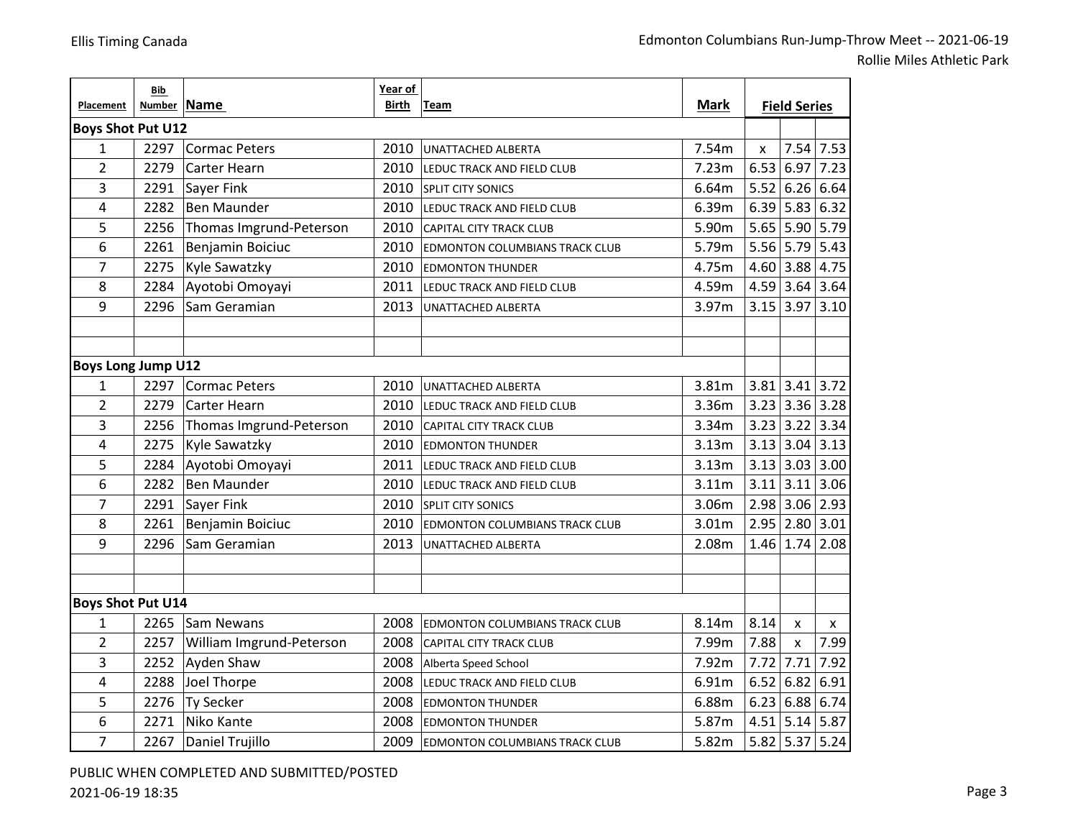Rollie Miles Athletic Park

|                           | Bib                      |                          | Year of |                                       |                   |                     |                      |                    |
|---------------------------|--------------------------|--------------------------|---------|---------------------------------------|-------------------|---------------------|----------------------|--------------------|
| Placement                 |                          | Number Name              |         | <b>Mark</b><br>Team                   |                   | <b>Field Series</b> |                      |                    |
|                           | <b>Boys Shot Put U12</b> |                          |         |                                       |                   |                     |                      |                    |
| $\mathbf{1}$              | 2297                     | Cormac Peters            | 2010    | UNATTACHED ALBERTA                    | 7.54m             | X                   |                      | $7.54$ 7.53        |
| $\overline{2}$            | 2279                     | <b>Carter Hearn</b>      | 2010    | LEDUC TRACK AND FIELD CLUB            | 7.23m             | 6.53                | 6.97                 | 7.23               |
| 3                         | 2291                     | Sayer Fink               | 2010    | <b>SPLIT CITY SONICS</b>              | 6.64m             | 5.52                | 6.26 6.64            |                    |
| 4                         | 2282                     | <b>Ben Maunder</b>       | 2010    | LEDUC TRACK AND FIELD CLUB            | 6.39m             |                     | $6.39$ 5.83 6.32     |                    |
| 5                         | 2256                     | Thomas Imgrund-Peterson  | 2010    | <b>CAPITAL CITY TRACK CLUB</b>        | 5.90m             |                     | 5.65 5.90 5.79       |                    |
| 6                         | 2261                     | Benjamin Boiciuc         | 2010    | <b>EDMONTON COLUMBIANS TRACK CLUB</b> | 5.79m             |                     | $5.56$ 5.79 5.43     |                    |
| $\overline{7}$            | 2275                     | Kyle Sawatzky            | 2010    | <b>EDMONTON THUNDER</b>               | 4.75m             |                     | 4.60 3.88 4.75       |                    |
| 8                         | 2284                     | Ayotobi Omoyayi          | 2011    | LEDUC TRACK AND FIELD CLUB            | 4.59m             |                     | 4.59 3.64 3.64       |                    |
| 9                         | 2296                     | Sam Geramian             | 2013    | UNATTACHED ALBERTA                    | 3.97m             |                     | $3.15$ 3.97 3.10     |                    |
|                           |                          |                          |         |                                       |                   |                     |                      |                    |
|                           |                          |                          |         |                                       |                   |                     |                      |                    |
| <b>Boys Long Jump U12</b> |                          |                          |         |                                       |                   |                     |                      |                    |
| 1                         | 2297                     | <b>Cormac Peters</b>     | 2010    | UNATTACHED ALBERTA                    | 3.81m             |                     | $3.81$ 3.41 3.72     |                    |
| $\overline{2}$            | 2279                     | <b>Carter Hearn</b>      | 2010    | LEDUC TRACK AND FIELD CLUB            | 3.36m             |                     | $3.23$ 3.36 3.28     |                    |
| 3                         | 2256                     | Thomas Imgrund-Peterson  | 2010    | <b>CAPITAL CITY TRACK CLUB</b>        | 3.34m             |                     | $3.23$ 3.22 3.34     |                    |
| 4                         | 2275                     | <b>Kyle Sawatzky</b>     | 2010    | <b>EDMONTON THUNDER</b>               | 3.13m             |                     | $3.13$ 3.04 3.13     |                    |
| 5                         | 2284                     | Ayotobi Omoyayi          | 2011    | LEDUC TRACK AND FIELD CLUB            | 3.13m             |                     | $3.13$ 3.03 3.00     |                    |
| 6                         | 2282                     | <b>Ben Maunder</b>       | 2010    | LEDUC TRACK AND FIELD CLUB            | 3.11m             |                     | $3.11$ $3.11$ $3.06$ |                    |
| $\overline{7}$            | 2291                     | Sayer Fink               | 2010    | <b>SPLIT CITY SONICS</b>              | 3.06m             |                     | 2.98 3.06 2.93       |                    |
| 8                         | 2261                     | Benjamin Boiciuc         | 2010    | <b>EDMONTON COLUMBIANS TRACK CLUB</b> | 3.01 <sub>m</sub> | 2.95                | $2.80$ 3.01          |                    |
| 9                         | 2296                     | Sam Geramian             | 2013    | UNATTACHED ALBERTA                    | 2.08m             |                     | $1.46$ 1.74          | 2.08               |
|                           |                          |                          |         |                                       |                   |                     |                      |                    |
|                           |                          |                          |         |                                       |                   |                     |                      |                    |
| Boys Shot Put U14         |                          |                          |         |                                       |                   |                     |                      |                    |
| 1                         | 2265                     | Sam Newans               | 2008    | <b>EDMONTON COLUMBIANS TRACK CLUB</b> | 8.14m             | 8.14                | $\mathsf{x}$         | $\pmb{\mathsf{x}}$ |
| $\overline{2}$            | 2257                     | William Imgrund-Peterson | 2008    | CAPITAL CITY TRACK CLUB               | 7.99m             | 7.88                | X                    | 7.99               |
| 3                         |                          | 2252 Ayden Shaw          | 2008    | Alberta Speed School                  | 7.92m             | 7.72                | 7.71                 | 7.92               |
| 4                         | 2288                     | Joel Thorpe              | 2008    | LEDUC TRACK AND FIELD CLUB            | 6.91m             | 6.52                | 6.82                 | 6.91               |
| 5                         | 2276                     | Ty Secker                | 2008    | <b>EDMONTON THUNDER</b>               | 6.88m             | 6.23                | 6.88 6.74            |                    |
| 6                         | 2271                     | Niko Kante               | 2008    | <b>EDMONTON THUNDER</b>               | 5.87m             |                     | $4.51$ 5.14 5.87     |                    |
| $\overline{7}$            | 2267                     | Daniel Trujillo          | 2009    | <b>EDMONTON COLUMBIANS TRACK CLUB</b> | 5.82m             |                     | $5.82$ 5.37          | 5.24               |